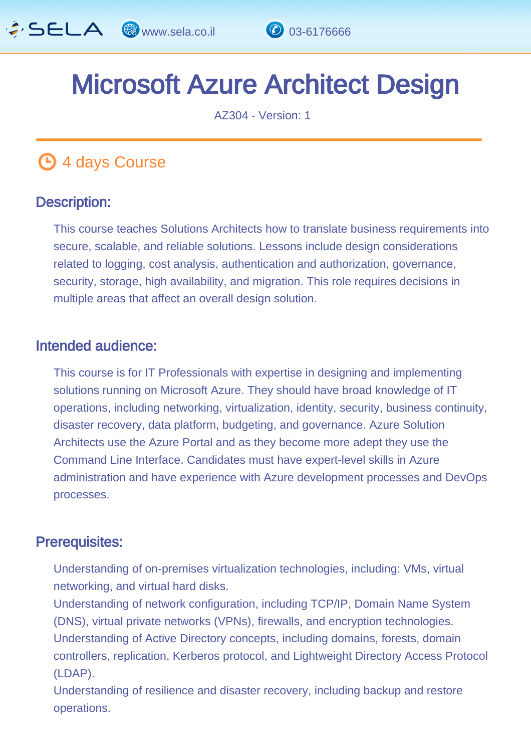

# Microsoft Azure Architect Design

AZ304 - Version: 1

# **4 days Course**

#### Description: Ī

This course teaches Solutions Architects how to translate business requirements into secure, scalable, and reliable solutions. Lessons include design considerations related to logging, cost analysis, authentication and authorization, governance, security, storage, high availability, and migration. This role requires decisions in multiple areas that affect an overall design solution.

#### Intended audience: Ï

This course is for IT Professionals with expertise in designing and implementing solutions running on Microsoft Azure. They should have broad knowledge of IT operations, including networking, virtualization, identity, security, business continuity, disaster recovery, data platform, budgeting, and governance. Azure Solution Architects use the Azure Portal and as they become more adept they use the Command Line Interface. Candidates must have expert-level skills in Azure administration and have experience with Azure development processes and DevOps processes.

#### Prerequisites: Ï

Understanding of on-premises virtualization technologies, including: VMs, virtual networking, and virtual hard disks.

Understanding of network configuration, including TCP/IP, Domain Name System (DNS), virtual private networks (VPNs), firewalls, and encryption technologies. Understanding of Active Directory concepts, including domains, forests, domain controllers, replication, Kerberos protocol, and Lightweight Directory Access Protocol (LDAP).

Understanding of resilience and disaster recovery, including backup and restore operations.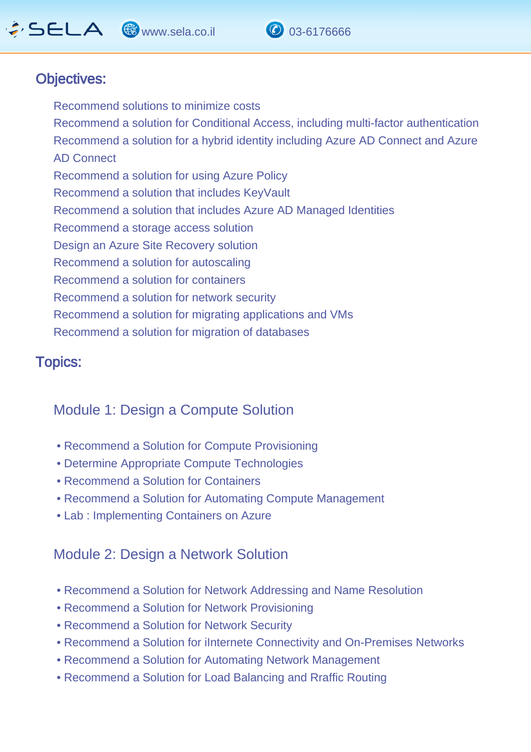# $\hat{G}$  SELA  $\circledast$  www.sela.co.il  $\circledast$  03-6176666

Ī



#### Objectives: I

Recommend solutions to minimize costs Recommend a solution for Conditional Access, including multi-factor authentication Recommend a solution for a hybrid identity including Azure AD Connect and Azure AD Connect Recommend a solution for using Azure Policy Recommend a solution that includes KeyVault Recommend a solution that includes Azure AD Managed Identities Recommend a storage access solution Design an Azure Site Recovery solution Recommend a solution for autoscaling Recommend a solution for containers Recommend a solution for network security Recommend a solution for migrating applications and VMs Recommend a solution for migration of databases

#### Topics: J.

### Module 1: Design a Compute Solution

- Recommend a Solution for Compute Provisioning
- Determine Appropriate Compute Technologies
- Recommend a Solution for Containers
- Recommend a Solution for Automating Compute Management
- Lab : Implementing Containers on Azure

### Module 2: Design a Network Solution

- Recommend a Solution for Network Addressing and Name Resolution
- Recommend a Solution for Network Provisioning
- Recommend a Solution for Network Security
- Recommend a Solution for iInternete Connectivity and On-Premises Networks
- Recommend a Solution for Automating Network Management
- Recommend a Solution for Load Balancing and Rraffic Routing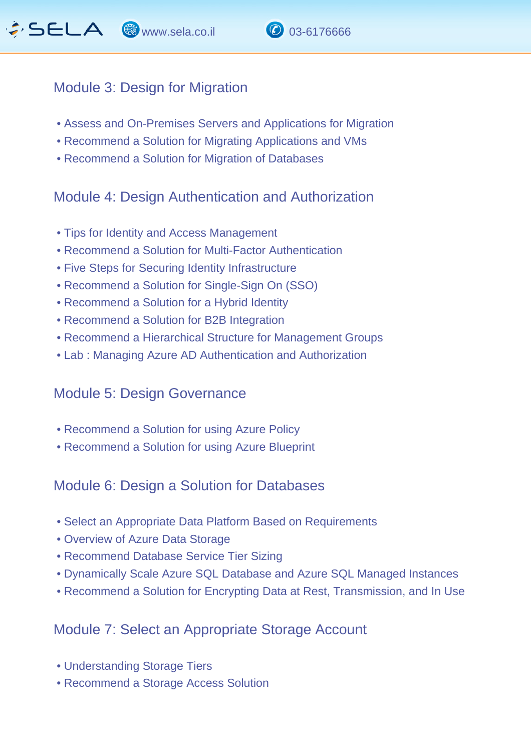

#### Module 3: Design for Migration

- Assess and On-Premises Servers and Applications for Migration
- Recommend a Solution for Migrating Applications and VMs
- Recommend a Solution for Migration of Databases

### Module 4: Design Authentication and Authorization

- Tips for Identity and Access Management
- Recommend a Solution for Multi-Factor Authentication
- Five Steps for Securing Identity Infrastructure
- Recommend a Solution for Single-Sign On (SSO)
- Recommend a Solution for a Hybrid Identity
- Recommend a Solution for B2B Integration
- Recommend a Hierarchical Structure for Management Groups
- Lab : Managing Azure AD Authentication and Authorization

#### Module 5: Design Governance

- Recommend a Solution for using Azure Policy
- Recommend a Solution for using Azure Blueprint

### Module 6: Design a Solution for Databases

- Select an Appropriate Data Platform Based on Requirements
- Overview of Azure Data Storage
- Recommend Database Service Tier Sizing
- Dynamically Scale Azure SQL Database and Azure SQL Managed Instances
- Recommend a Solution for Encrypting Data at Rest, Transmission, and In Use

#### Module 7: Select an Appropriate Storage Account

- Understanding Storage Tiers
- Recommend a Storage Access Solution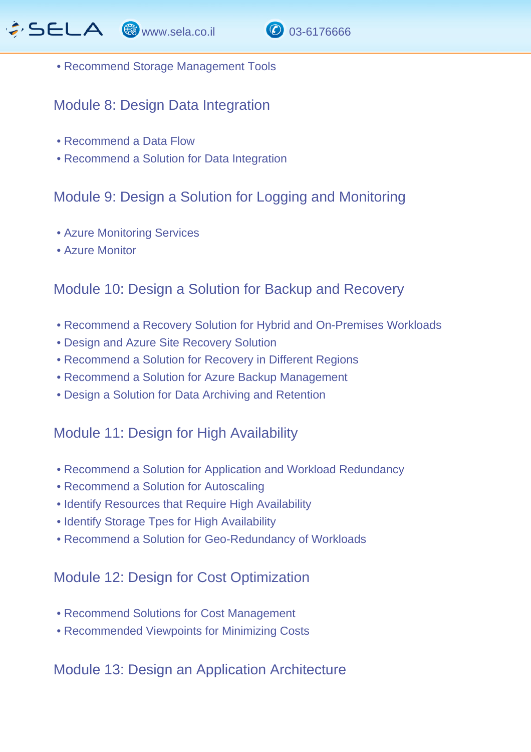

• Recommend Storage Management Tools

#### Module 8: Design Data Integration

- Recommend a Data Flow
- Recommend a Solution for Data Integration

## Module 9: Design a Solution for Logging and Monitoring

- Azure Monitoring Services
- Azure Monitor

### Module 10: Design a Solution for Backup and Recovery

- Recommend a Recovery Solution for Hybrid and On-Premises Workloads
- Design and Azure Site Recovery Solution
- Recommend a Solution for Recovery in Different Regions
- Recommend a Solution for Azure Backup Management
- Design a Solution for Data Archiving and Retention

#### Module 11: Design for High Availability

- Recommend a Solution for Application and Workload Redundancy
- Recommend a Solution for Autoscaling
- Identify Resources that Require High Availability
- Identify Storage Tpes for High Availability
- Recommend a Solution for Geo-Redundancy of Workloads

#### Module 12: Design for Cost Optimization

- Recommend Solutions for Cost Management
- Recommended Viewpoints for Minimizing Costs

### Module 13: Design an Application Architecture